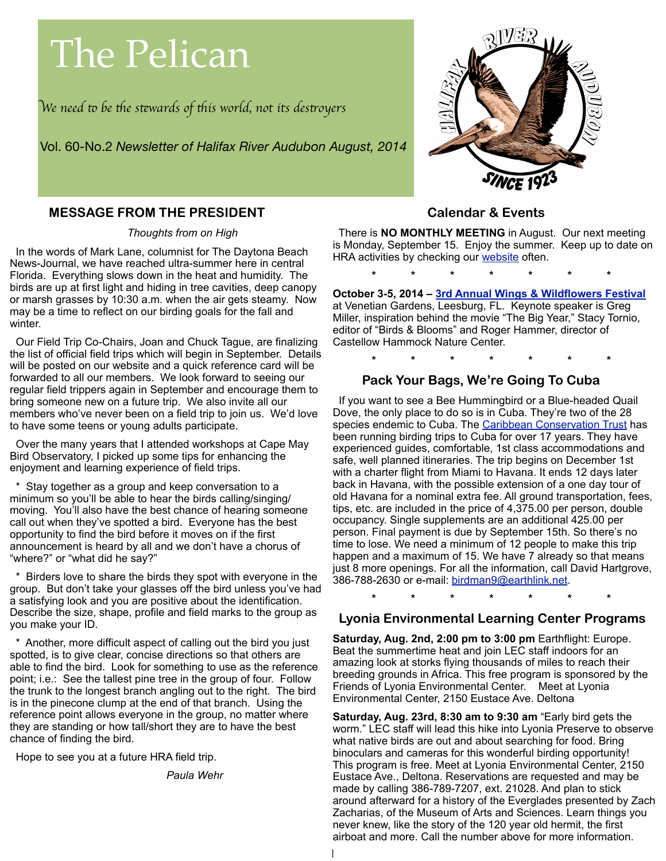# The Pelican

W*e need* " *be* #*e s*\$*wards of* #*is world, not its des*%*oyer*s

Vol. 60-No.2 *Newsletter of Halifax River Audubon August, 2014*



#### **MESSAGE FROM THE PRESIDENT**

*Thoughts from on High*

 In the words of Mark Lane, columnist for The Daytona Beach News-Journal, we have reached ultra-summer here in central Florida. Everything slows down in the heat and humidity. The birds are up at first light and hiding in tree cavities, deep canopy or marsh grasses by 10:30 a.m. when the air gets steamy. Now may be a time to reflect on our birding goals for the fall and winter.

 Our Field Trip Co-Chairs, Joan and Chuck Tague, are finalizing the list of official field trips which will begin in September. Details will be posted on our website and a quick reference card will be forwarded to all our members. We look forward to seeing our regular field trippers again in September and encourage them to bring someone new on a future trip. We also invite all our members who've never been on a field trip to join us. We'd love to have some teens or young adults participate.

 Over the many years that I attended workshops at Cape May Bird Observatory, I picked up some tips for enhancing the enjoyment and learning experience of field trips.

Stay together as a group and keep conversation to a minimum so you'll be able to hear the birds calling/singing/ moving. You'll also have the best chance of hearing someone call out when they've spotted a bird. Everyone has the best opportunity to find the bird before it moves on if the first announcement is heard by all and we don't have a chorus of "where?" or "what did he say?"

Birders love to share the birds they spot with everyone in the group. But don't take your glasses off the bird unless you've had a satisfying look and you are positive about the identification. Describe the size, shape, profile and field marks to the group as you make your ID.

Another, more difficult aspect of calling out the bird you just spotted, is to give clear, concise directions so that others are able to find the bird. Look for something to use as the reference point; i.e.: See the tallest pine tree in the group of four. Follow the trunk to the longest branch angling out to the right. The bird is in the pinecone clump at the end of that branch. Using the reference point allows everyone in the group, no matter where they are standing or how tall/short they are to have the best chance of finding the bird.

Hope to see you at a future HRA field trip.

*Paula Wehr*

#### **Calendar & Events**

 There is **NO MONTHLY MEETING** in August. Our next meeting is Monday, September 15. Enjoy the summer. Keep up to date on HRA activities by checking our [website](http://www.halifaxriveras.org/) often.

**\* \* \* \* \* \* \***

**October 3-5, 2014 – [3rd Annual Wings & Wildflowers Festival](http://wingsandwildflowers.com/)** at Venetian Gardens, Leesburg, FL. Keynote speaker is Greg Miller, inspiration behind the movie "The Big Year," Stacy Tornio, editor of "Birds & Blooms" and Roger Hammer, director of Castellow Hammock Nature Center.

**\* \* \* \* \* \* \***

#### **Pack Your Bags, We're Going To Cuba**

 If you want to see a Bee Hummingbird or a Blue-headed Quail Dove, the only place to do so is in Cuba. They're two of the 28 species endemic to Cuba. The [Caribbean Conservation Trust](http://cubirds.org/) has been running birding trips to Cuba for over 17 years. They have experienced guides, comfortable, 1st class accommodations and safe, well planned itineraries. The trip begins on December 1st with a charter flight from Miami to Havana. It ends 12 days later back in Havana, with the possible extension of a one day tour of old Havana for a nominal extra fee. All ground transportation, fees, tips, etc. are included in the price of 4,375.00 per person, double occupancy. Single supplements are an additional 425.00 per person. Final payment is due by September 15th. So there's no time to lose. We need a minimum of 12 people to make this trip happen and a maximum of 15. We have 7 already so that means just 8 more openings. For all the information, call David Hartgrove, 386-788-2630 or e-mail: [birdman9@earthlink.net.](mailto:birdman9@earthlink.net)

**\* \* \* \* \* \* \***

#### **Lyonia Environmental Learning Center Programs**

**Saturday, Aug. 2nd, 2:00 pm to 3:00 pm** Earthflight: Europe. Beat the summertime heat and join LEC staff indoors for an amazing look at storks flying thousands of miles to reach their breeding grounds in Africa. This free program is sponsored by the Friends of Lyonia Environmental Center. Meet at Lyonia Environmental Center, 2150 Eustace Ave. Deltona

**Saturday, Aug. 23rd, 8:30 am to 9:30 am** "Early bird gets the worm." LEC staff will lead this hike into Lyonia Preserve to observe what native birds are out and about searching for food. Bring binoculars and cameras for this wonderful birding opportunity! This program is free. Meet at Lyonia Environmental Center, 2150 Eustace Ave., Deltona. Reservations are requested and may be made by calling 386-789-7207, ext. 21028. And plan to stick around afterward for a history of the Everglades presented by Zach Zacharias, of the Museum of Arts and Sciences. Learn things you never knew, like the story of the 120 year old hermit, the first airboat and more. Call the number above for more information.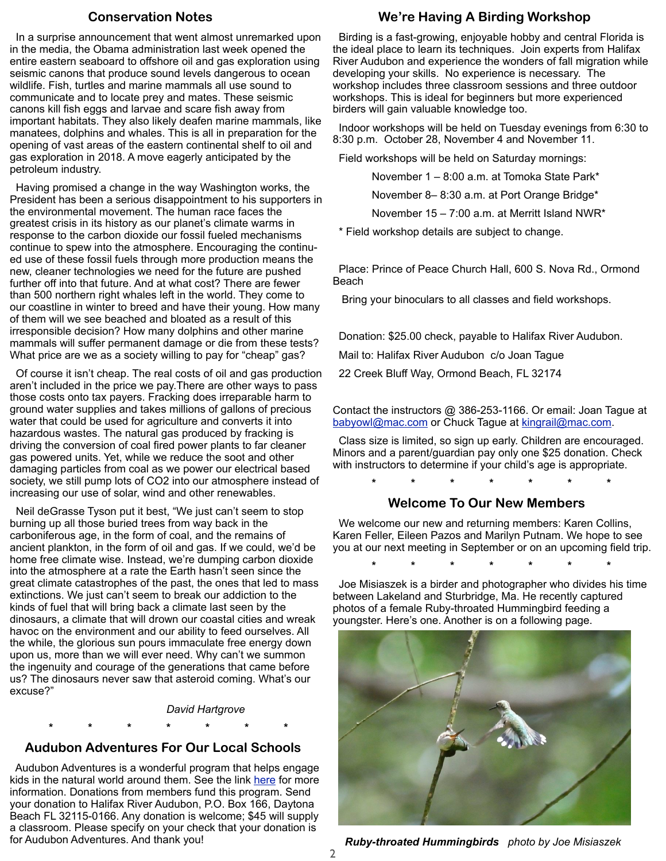#### **Conservation Notes**

 In a surprise announcement that went almost unremarked upon in the media, the Obama administration last week opened the entire eastern seaboard to offshore oil and gas exploration using seismic canons that produce sound levels dangerous to ocean wildlife. Fish, turtles and marine mammals all use sound to communicate and to locate prey and mates. These seismic canons kill fish eggs and larvae and scare fish away from important habitats. They also likely deafen marine mammals, like manatees, dolphins and whales. This is all in preparation for the opening of vast areas of the eastern continental shelf to oil and gas exploration in 2018. A move eagerly anticipated by the petroleum industry.

 Having promised a change in the way Washington works, the President has been a serious disappointment to his supporters in the environmental movement. The human race faces the greatest crisis in its history as our planet's climate warms in response to the carbon dioxide our fossil fueled mechanisms continue to spew into the atmosphere. Encouraging the continued use of these fossil fuels through more production means the new, cleaner technologies we need for the future are pushed further off into that future. And at what cost? There are fewer than 500 northern right whales left in the world. They come to our coastline in winter to breed and have their young. How many of them will we see beached and bloated as a result of this irresponsible decision? How many dolphins and other marine mammals will suffer permanent damage or die from these tests? What price are we as a society willing to pay for "cheap" gas?

 Of course it isn't cheap. The real costs of oil and gas production aren't included in the price we pay.There are other ways to pass those costs onto tax payers. Fracking does irreparable harm to ground water supplies and takes millions of gallons of precious water that could be used for agriculture and converts it into hazardous wastes. The natural gas produced by fracking is driving the conversion of coal fired power plants to far cleaner gas powered units. Yet, while we reduce the soot and other damaging particles from coal as we power our electrical based society, we still pump lots of CO2 into our atmosphere instead of increasing our use of solar, wind and other renewables.

 Neil deGrasse Tyson put it best, "We just can't seem to stop burning up all those buried trees from way back in the carboniferous age, in the form of coal, and the remains of ancient plankton, in the form of oil and gas. If we could, we'd be home free climate wise. Instead, we're dumping carbon dioxide into the atmosphere at a rate the Earth hasn't seen since the great climate catastrophes of the past, the ones that led to mass extinctions. We just can't seem to break our addiction to the kinds of fuel that will bring back a climate last seen by the dinosaurs, a climate that will drown our coastal cities and wreak havoc on the environment and our ability to feed ourselves. All the while, the glorious sun pours immaculate free energy down upon us, more than we will ever need. Why can't we summon the ingenuity and courage of the generations that came before us? The dinosaurs never saw that asteroid coming. What's our excuse?"

*David Hartgrove*

**\* \* \* \* \* \* \***

#### **Audubon Adventures For Our Local Schools**

 Audubon Adventures is a wonderful program that helps engage kids in the natural world around them. See the link [here](http://education.audubon.org/audubon-adventures) for more information. Donations from members fund this program. Send your donation to Halifax River Audubon, P.O. Box 166, Daytona Beach FL 32115-0166. Any donation is welcome; \$45 will supply a classroom. Please specify on your check that your donation is for Audubon Adventures. And thank you!

#### **We're Having A Birding Workshop**

 Birding is a fast-growing, enjoyable hobby and central Florida is the ideal place to learn its techniques. Join experts from Halifax River Audubon and experience the wonders of fall migration while developing your skills. No experience is necessary. The workshop includes three classroom sessions and three outdoor workshops. This is ideal for beginners but more experienced birders will gain valuable knowledge too.

 Indoor workshops will be held on Tuesday evenings from 6:30 to 8:30 p.m. October 28, November 4 and November 11.

Field workshops will be held on Saturday mornings:

November 1 – 8:00 a.m. at Tomoka State Park\*

November 8– 8:30 a.m. at Port Orange Bridge\*

November 15 – 7:00 a.m. at Merritt Island NWR\*

\* Field workshop details are subject to change.

 Place: Prince of Peace Church Hall, 600 S. Nova Rd., Ormond Beach

Bring your binoculars to all classes and field workshops.

Donation: \$25.00 check, payable to Halifax River Audubon.

Mail to: Halifax River Audubon c/o Joan Tague

22 Creek Bluff Way, Ormond Beach, FL 32174

Contact the instructors @ 386-253-1166. Or email: Joan Tague at [babyowl@mac.com](mailto:babyowl@mac.com) or Chuck Tague at [kingrail@mac.com.](mailto:kingrail@mac.com)

 Class size is limited, so sign up early. Children are encouraged. Minors and a parent/guardian pay only one \$25 donation. Check with instructors to determine if your child's age is appropriate.

**\* \* \* \* \* \* \***

#### **Welcome To Our New Members**

 We welcome our new and returning members: Karen Collins, Karen Feller, Eileen Pazos and Marilyn Putnam. We hope to see you at our next meeting in September or on an upcoming field trip.

**\* \* \* \* \* \* \***

 Joe Misiaszek is a birder and photographer who divides his time between Lakeland and Sturbridge, Ma. He recently captured photos of a female Ruby-throated Hummingbird feeding a youngster. Here's one. Another is on a following page.



*Ruby-throated Hummingbirds photo by Joe Misiaszek*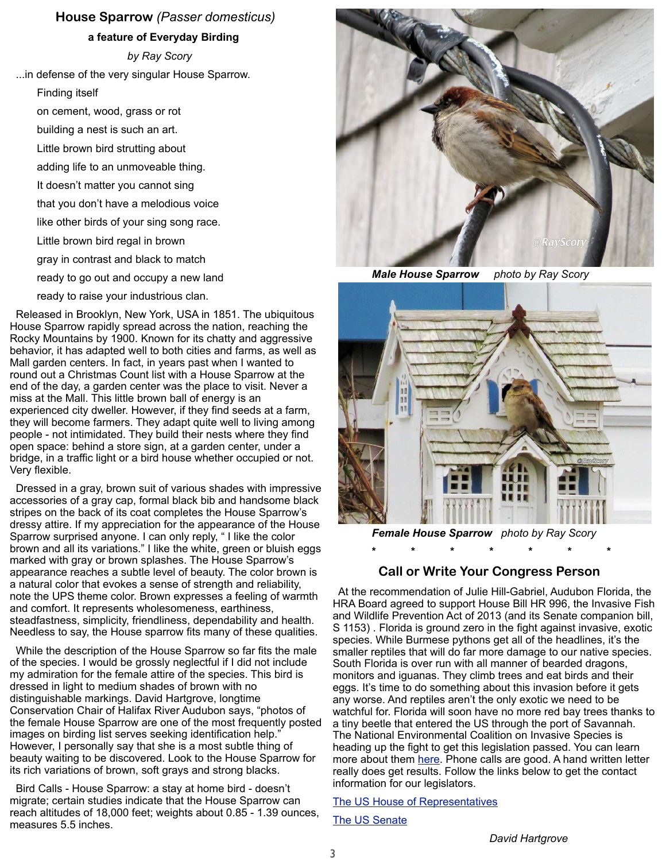#### **House Sparrow** *(Passer domesticus)*

**a feature of Everyday Birding**

*by Ray Scory*

...in defense of the very singular House Sparrow.

Finding itself

on cement, wood, grass or rot

building a nest is such an art.

Little brown bird strutting about

- adding life to an unmoveable thing.
- It doesn't matter you cannot sing
- that you don't have a melodious voice
- like other birds of your sing song race.
- Little brown bird regal in brown
- gray in contrast and black to match
- ready to go out and occupy a new land
- ready to raise your industrious clan.

 Released in Brooklyn, New York, USA in 1851. The ubiquitous House Sparrow rapidly spread across the nation, reaching the Rocky Mountains by 1900. Known for its chatty and aggressive behavior, it has adapted well to both cities and farms, as well as Mall garden centers. In fact, in years past when I wanted to round out a Christmas Count list with a House Sparrow at the end of the day, a garden center was the place to visit. Never a miss at the Mall. This little brown ball of energy is an experienced city dweller. However, if they find seeds at a farm, they will become farmers. They adapt quite well to living among people - not intimidated. They build their nests where they find open space: behind a store sign, at a garden center, under a bridge, in a traffic light or a bird house whether occupied or not. Very flexible.

 Dressed in a gray, brown suit of various shades with impressive accessories of a gray cap, formal black bib and handsome black stripes on the back of its coat completes the House Sparrow's dressy attire. If my appreciation for the appearance of the House Sparrow surprised anyone. I can only reply, " I like the color brown and all its variations." I like the white, green or bluish eggs marked with gray or brown splashes. The House Sparrow's appearance reaches a subtle level of beauty. The color brown is a natural color that evokes a sense of strength and reliability, note the UPS theme color. Brown expresses a feeling of warmth and comfort. It represents wholesomeness, earthiness, steadfastness, simplicity, friendliness, dependability and health. Needless to say, the House sparrow fits many of these qualities.

 While the description of the House Sparrow so far fits the male of the species. I would be grossly neglectful if I did not include my admiration for the female attire of the species. This bird is dressed in light to medium shades of brown with no distinguishable markings. David Hartgrove, longtime Conservation Chair of Halifax River Audubon says, "photos of the female House Sparrow are one of the most frequently posted images on birding list serves seeking identification help." However, I personally say that she is a most subtle thing of beauty waiting to be discovered. Look to the House Sparrow for its rich variations of brown, soft grays and strong blacks.

 Bird Calls - House Sparrow: a stay at home bird - doesn't migrate; certain studies indicate that the House Sparrow can reach altitudes of 18,000 feet; weights about 0.85 - 1.39 ounces, measures 5.5 inches.



*Male House Sparrow photo by Ray Scory*



*Female House Sparrow photo by Ray Scory*

## **\* \* \* \* \* \* \* Call or Write Your Congress Person**

 At the recommendation of Julie Hill-Gabriel, Audubon Florida, the HRA Board agreed to support House Bill HR 996, the Invasive Fish and Wildlife Prevention Act of 2013 (and its Senate companion bill, S 1153) . Florida is ground zero in the fight against invasive, exotic species. While Burmese pythons get all of the headlines, it's the smaller reptiles that will do far more damage to our native species. South Florida is over run with all manner of bearded dragons, monitors and iguanas. They climb trees and eat birds and their eggs. It's time to do something about this invasion before it gets any worse. And reptiles aren't the only exotic we need to be watchful for. Florida will soon have no more red bay trees thanks to a tiny beetle that entered the US through the port of Savannah. The National Environmental Coalition on Invasive Species is heading up the fight to get this legislation passed. You can learn more about them [here.](http://www.necis.net/) Phone calls are good. A hand written letter really does get results. Follow the links below to get the contact information for our legislators.

#### [The US House of Representatives](http://www.house.gov/representatives/)

#### **[The US Senate](http://www.senate.gov/general/contact_information/senators_cfm.cfm)**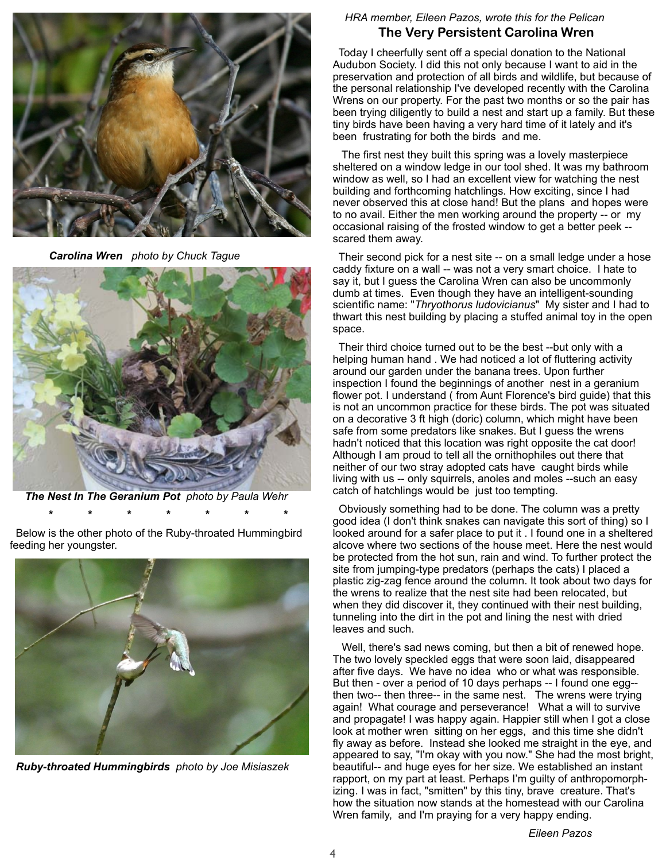

*Carolina Wren photo by Chuck Tague*



*The Nest In The Geranium Pot photo by Paula Wehr*

 **\* \* \* \* \* \* \***

 Below is the other photo of the Ruby-throated Hummingbird feeding her youngster.



*Ruby-throated Hummingbirds photo by Joe Misiaszek*

#### *HRA member, Eileen Pazos, wrote this for the Pelican* **The Very Persistent Carolina Wren**

 Today I cheerfully sent off a special donation to the National Audubon Society. I did this not only because I want to aid in the preservation and protection of all birds and wildlife, but because of the personal relationship I've developed recently with the Carolina Wrens on our property. For the past two months or so the pair has been trying diligently to build a nest and start up a family. But these tiny birds have been having a very hard time of it lately and it's been frustrating for both the birds and me.

 The first nest they built this spring was a lovely masterpiece sheltered on a window ledge in our tool shed. It was my bathroom window as well, so I had an excellent view for watching the nest building and forthcoming hatchlings. How exciting, since I had never observed this at close hand! But the plans and hopes were to no avail. Either the men working around the property -- or my occasional raising of the frosted window to get a better peek - scared them away.

 Their second pick for a nest site -- on a small ledge under a hose caddy fixture on a wall -- was not a very smart choice. I hate to say it, but I guess the Carolina Wren can also be uncommonly dumb at times. Even though they have an intelligent-sounding scientific name: "*Thryothorus ludovicianus*" My sister and I had to thwart this nest building by placing a stuffed animal toy in the open space.

 Their third choice turned out to be the best --but only with a helping human hand . We had noticed a lot of fluttering activity around our garden under the banana trees. Upon further inspection I found the beginnings of another nest in a geranium flower pot. I understand ( from Aunt Florence's bird guide) that this is not an uncommon practice for these birds. The pot was situated on a decorative 3 ft high (doric) column, which might have been safe from some predators like snakes. But I guess the wrens hadn't noticed that this location was right opposite the cat door! Although I am proud to tell all the ornithophiles out there that neither of our two stray adopted cats have caught birds while living with us -- only squirrels, anoles and moles --such an easy catch of hatchlings would be just too tempting.

 Obviously something had to be done. The column was a pretty good idea (I don't think snakes can navigate this sort of thing) so I looked around for a safer place to put it . I found one in a sheltered alcove where two sections of the house meet. Here the nest would be protected from the hot sun, rain and wind. To further protect the site from jumping-type predators (perhaps the cats) I placed a plastic zig-zag fence around the column. It took about two days for the wrens to realize that the nest site had been relocated, but when they did discover it, they continued with their nest building, tunneling into the dirt in the pot and lining the nest with dried leaves and such.

 Well, there's sad news coming, but then a bit of renewed hope. The two lovely speckled eggs that were soon laid, disappeared after five days. We have no idea who or what was responsible. But then - over a period of 10 days perhaps -- I found one egg- then two-- then three-- in the same nest. The wrens were trying again! What courage and perseverance! What a will to survive and propagate! I was happy again. Happier still when I got a close look at mother wren sitting on her eggs, and this time she didn't fly away as before. Instead she looked me straight in the eye, and appeared to say, "I'm okay with you now." She had the most bright, beautiful-- and huge eyes for her size. We established an instant rapport, on my part at least. Perhaps I'm guilty of anthropomorphizing. I was in fact, "smitten" by this tiny, brave creature. That's how the situation now stands at the homestead with our Carolina Wren family, and I'm praying for a very happy ending.